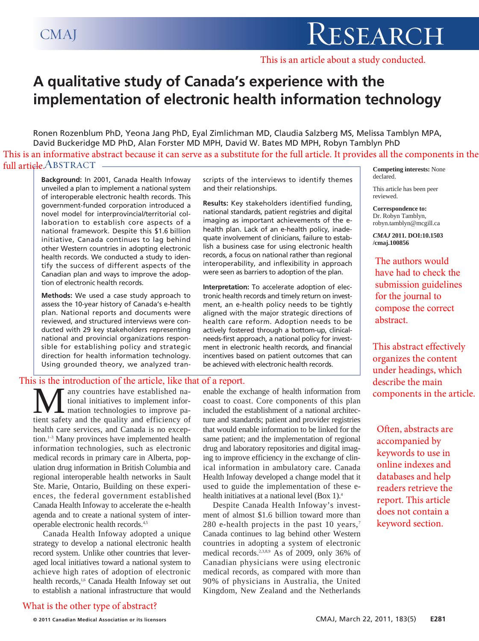This is an article about a study conducted.

# **A qualitative study of Canada's experience with the implementation of electronic health information technology**

Ronen Rozenblum PhD, Yeona Jang PhD, Eyal Zimlichman MD, Claudia Salzberg MS, Melissa Tamblyn MPA, David Buckeridge MD PhD, Alan Forster MD MPH, David W. Bates MD MPH, Robyn Tamblyn PhD **Competing interests:** None full article. ABSTRACT This is an informative abstract because it can serve as a substitute for the full article. It provides all the components in the

**Background:** In 2001, Canada Health Infoway unveiled a plan to implement a national system of interoperable electronic health records. This government-funded corporation introduced a novel model for interprovincial/territorial collaboration to establish core aspects of a national framework. Despite this \$1.6 billion initiative, Canada continues to lag behind other Western countries in adopting electronic health records. We conducted a study to identify the success of different aspects of the Canadian plan and ways to improve the adoption of electronic health records.

**Methods:** We used a case study approach to assess the 10-year history of Canada's e-health plan. National reports and documents were reviewed, and structured interviews were conducted with 29 key stakeholders representing national and provincial organizations responsible for establishing policy and strategic direction for health information technology. Using grounded theory, we analyzed tran-

### This is the introduction of the article, like that of a report.

**M** any countries have established national initiatives to implement information technologies to improve patient safety and the quality and efficiency of tional initiatives to implement infor-**L** mation technologies to improve pahealth care services, and Canada is no exception.<sup>1-3</sup> Many provinces have implemented health information technologies, such as electronic medical records in primary care in Alberta, population drug information in British Columbia and regional interoperable health networks in Sault Ste. Marie, Ontario, Building on these experiences, the federal government established Canada Health Infoway to accelerate the e-health agenda and to create a national system of interoperable electronic health records.4,5

Canada Health Infoway adopted a unique strategy to develop a national electronic health record system. Unlike other countries that leveraged local initiatives toward a national system to achieve high rates of adoption of electronic health records,<sup>1,6</sup> Canada Health Infoway set out to establish a national infrastructure that would scripts of the interviews to identify themes and their relationships.

**Results:** Key stakeholders identified funding, national standards, patient registries and digital imaging as important achievements of the ehealth plan. Lack of an e-health policy, inadequate involvement of clinicians, failure to establish a business case for using electronic health records, a focus on national rather than regional interoperability, and inflexibility in approach were seen as barriers to adoption of the plan.

**Interpretation:** To accelerate adoption of electronic health records and timely return on investment, an e-health policy needs to be tightly aligned with the major strategic directions of health care reform. Adoption needs to be actively fostered through a bottom-up, clinicalneeds-first approach, a national policy for investment in electronic health records, and financial incentives based on patient outcomes that can be achieved with electronic health records.

enable the exchange of health information from coast to coast. Core components of this plan included the establishment of a national architecture and standards; patient and provider registries that would enable information to be linked for the same patient; and the implementation of regional drug and laboratory repositories and digital imaging to improve efficiency in the exchange of clinical information in ambulatory care. Canada Health Infoway developed a change model that it used to guide the implementation of these ehealth initiatives at a national level (Box 1).<sup>4</sup>

Despite Canada Health Infoway's investment of almost \$1.6 billion toward more than 280 e-health projects in the past 10 years,<sup>7</sup> Canada continues to lag behind other Western countries in adopting a system of electronic medical records.<sup>2,3,8,9</sup> As of 2009, only 36% of Canadian physicians were using electronic medical records, as compared with more than 90% of physicians in Australia, the United Kingdom, New Zealand and the Netherlands

declared.

This article has been peer reviewed.

**Correspondence to:**  Dr. Robyn Tamblyn, robyn.tamblyn@mcgill.ca

*CMAJ* **2011. DOI:10.1503 /cmaj.100856**

The authors would have had to check the submission guidelines for the journal to compose the correct abstract.

This abstract effectively organizes the content under headings, which describe the main components in the article.

Often, abstracts are accompanied by keywords to use in online indexes and databases and help readers retrieve the report. This article does not contain a keyword section.

What is the other type of abstract?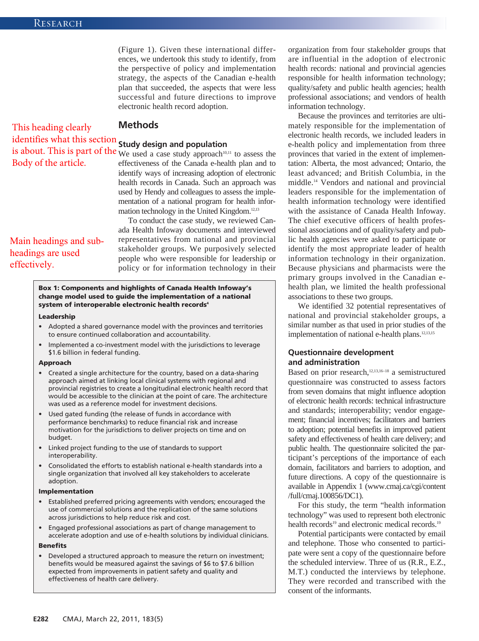(Figure 1). Given these international differences, we undertook this study to identify, from the perspective of policy and implementation strategy, the aspects of the Canadian e-health plan that succeeded, the aspects that were less successful and future directions to improve electronic health record adoption.

### **Methods**

## identifies what this section **Study design and population**

Body of the article.

This heading clearly

is about. This is part of the We used a case study approach<sup>10,11</sup> to assess the effectiveness of the Canada e-health plan and to identify ways of increasing adoption of electronic health records in Canada. Such an approach was used by Hendy and colleagues to assess the implementation of a national program for health information technology in the United Kingdom.12,13

> To conduct the case study, we reviewed Canada Health Infoway documents and interviewed representatives from national and provincial stakeholder groups. We purposively selected people who were responsible for leadership or policy or for information technology in their

## Main headings and subheadings are used effectively.

### **Box 1: Components and highlights of Canada Health Infoway's change model used to guide the implementation of a national** system of interoperable electronic health records<sup>4</sup>

#### **Leadership**

- Adopted a shared governance model with the provinces and territories to ensure continued collaboration and accountability.
- Implemented a co-investment model with the jurisdictions to leverage \$1.6 billion in federal funding.

#### **Approach**

- Created a single architecture for the country, based on a data-sharing approach aimed at linking local clinical systems with regional and provincial registries to create a longitudinal electronic health record that would be accessible to the clinician at the point of care. The architecture was used as a reference model for investment decisions.
- Used gated funding (the release of funds in accordance with performance benchmarks) to reduce financial risk and increase motivation for the jurisdictions to deliver projects on time and on budget.
- Linked project funding to the use of standards to support interoperability.
- Consolidated the efforts to establish national e-health standards into a single organization that involved all key stakeholders to accelerate adoption.

#### **Implementation**

- Established preferred pricing agreements with vendors; encouraged the use of commercial solutions and the replication of the same solutions across jurisdictions to help reduce risk and cost.
- Engaged professional associations as part of change management to accelerate adoption and use of e-health solutions by individual clinicians.

### **Benefits**

• Developed a structured approach to measure the return on investment; benefits would be measured against the savings of \$6 to \$7.6 billion expected from improvements in patient safety and quality and effectiveness of health care delivery.

organization from four stakeholder groups that are influential in the adoption of electronic health records: national and provincial agencies responsible for health information technology; quality/safety and public health agencies; health professional associations; and vendors of health information technology.

Because the provinces and territories are ultimately responsible for the implementation of electronic health records, we included leaders in e-health policy and implementation from three provinces that varied in the extent of implementation: Alberta, the most advanced; Ontario, the least advanced; and British Columbia, in the middle.14 Vendors and national and provincial leaders responsible for the implementation of health information technology were identified with the assistance of Canada Health Infoway. The chief executive officers of health professional associations and of quality/safety and public health agencies were asked to participate or identify the most appropriate leader of health information technology in their organization. Because physicians and pharmacists were the primary groups involved in the Canadian ehealth plan, we limited the health professional associations to these two groups.

We identified 32 potential representatives of national and provincial stakeholder groups, a similar number as that used in prior studies of the implementation of national e-health plans.<sup>12,13,15</sup>

### **Questionnaire development and administration**

Based on prior research,<sup>12,13,16–18</sup> a semistructured questionnaire was constructed to assess factors from seven domains that might influence adoption of electronic health records: technical infrastructure and standards; interoperability; vendor engagement; financial incentives; facilitators and barriers to adoption; potential benefits in improved patient safety and effectiveness of health care delivery; and public health. The questionnaire solicited the participant's perceptions of the importance of each domain, facilitators and barriers to adoption, and future directions. A copy of the questionnaire is available in Appendix 1 (www.cmaj.ca/cgi/content /full/cmaj.100856/DC1).

For this study, the term "health information technology" was used to represent both electronic health records<sup>19</sup> and electronic medical records.<sup>19</sup>

Potential participants were contacted by email and telephone. Those who consented to participate were sent a copy of the questionnaire before the scheduled interview. Three of us (R.R., E.Z., M.T.) conducted the interviews by telephone. They were recorded and transcribed with the consent of the informants.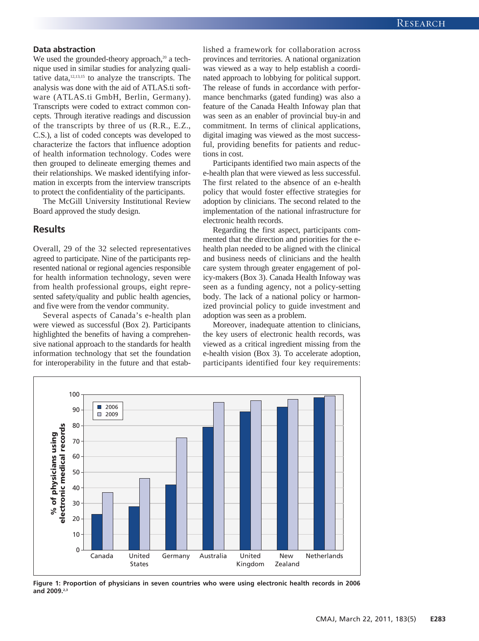### **Data abstraction**

We used the grounded-theory approach, $20$  a technique used in similar studies for analyzing qualitative data, $12,13,15$  to analyze the transcripts. The analysis was done with the aid of ATLAS.ti software (ATLAS.ti GmbH, Berlin, Germany). Transcripts were coded to extract common concepts. Through iterative readings and discussion of the transcripts by three of us (R.R., E.Z., C.S.), a list of coded concepts was developed to characterize the factors that influence adoption of health information technology. Codes were then grouped to delineate emerging themes and their relationships. We masked identifying information in excerpts from the interview transcripts to protect the confidentiality of the participants.

The McGill University Institutional Review Board approved the study design.

### **Results**

Overall, 29 of the 32 selected representatives agreed to participate. Nine of the participants represented national or regional agencies responsible for health information technology, seven were from health professional groups, eight represented safety/quality and public health agencies, and five were from the vendor community.

Several aspects of Canada's e-health plan were viewed as successful (Box 2). Participants highlighted the benefits of having a comprehensive national approach to the standards for health information technology that set the foundation for interoperability in the future and that established a framework for collaboration across provinces and territories. A national organization was viewed as a way to help establish a coordinated approach to lobbying for political support. The release of funds in accordance with performance benchmarks (gated funding) was also a feature of the Canada Health Infoway plan that was seen as an enabler of provincial buy-in and commitment. In terms of clinical applications, digital imaging was viewed as the most successful, providing benefits for patients and reductions in cost.

Participants identified two main aspects of the e-health plan that were viewed as less successful. The first related to the absence of an e-health policy that would foster effective strategies for adoption by clinicians. The second related to the implementation of the national infrastructure for electronic health records.

Regarding the first aspect, participants commented that the direction and priorities for the ehealth plan needed to be aligned with the clinical and business needs of clinicians and the health care system through greater engagement of policy-makers (Box 3). Canada Health Infoway was seen as a funding agency, not a policy-setting body. The lack of a national policy or harmonized provincial policy to guide investment and adoption was seen as a problem.

Moreover, inadequate attention to clinicians, the key users of electronic health records, was viewed as a critical ingredient missing from the e-health vision (Box 3). To accelerate adoption, participants identified four key requirements:



**Figure 1: Proportion of physicians in seven countries who were using electronic health records in 2006 and 2009.2,3**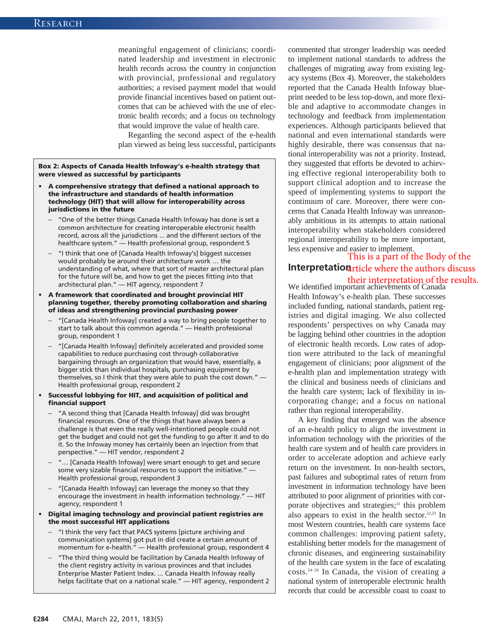meaningful engagement of clinicians; coordinated leadership and investment in electronic health records across the country in conjunction with provincial, professional and regulatory authorities; a revised payment model that would provide financial incentives based on patient outcomes that can be achieved with the use of electronic health records; and a focus on technology that would improve the value of health care.

Regarding the second aspect of the e-health plan viewed as being less successful, participants

**Box 2: Aspects of Canada Health Infoway's e-health strategy that were viewed as successful by participants**

- **A comprehensive strategy that defined a national approach to the infrastructure and standards of health information technology (HIT) that will allow for interoperability across jurisdictions in the future**
	- "One of the better things Canada Health Infoway has done is set a common architecture for creating interoperable electronic health record, across all the jurisdictions ... and the different sectors of the healthcare system." — Health professional group, respondent 5
	- "I think that one of [Canada Health Infoway's] biggest successes would probably be around their architecture work … the understanding of what, where that sort of master architectural plan for the future will be, and how to get the pieces fitting into that architectural plan." — HIT agency, respondent 7
- **A framework that coordinated and brought provincial HIT planning together, thereby promoting collaboration and sharing of ideas and strengthening provincial purchasing power**
	- "[Canada Health Infoway] created a way to bring people together to start to talk about this common agenda." — Health professional group, respondent 1
	- "[Canada Health Infoway] definitely accelerated and provided some capabilities to reduce purchasing cost through collaborative bargaining through an organization that would have, essentially, a bigger stick than individual hospitals, purchasing equipment by themselves, so I think that they were able to push the cost down." — Health professional group, respondent 2
- **Successful lobbying for HIT, and acquisition of political and financial support**
	- "A second thing that [Canada Health Infoway] did was brought financial resources. One of the things that have always been a challenge is that even the really well-intentioned people could not get the budget and could not get the funding to go after it and to do it. So the Infoway money has certainly been an injection from that perspective." — HIT vendor, respondent 2
	- "... [Canada Health Infoway] were smart enough to get and secure some very sizable financial resources to support the initiative." — Health professional group, respondent 3
	- "[Canada Health Infoway] can leverage the money so that they encourage the investment in health information technology." — HIT agency, respondent 1
- **Digital imaging technology and provincial patient registries are the most successful HIT applications**
	- "I think the very fact that PACS systems [picture archiving and communication systems] got put in did create a certain amount of momentum for e-health." — Health professional group, respondent 4
	- "The third thing would be facilitation by Canada Health Infoway of the client registry activity in various provinces and that includes Enterprise Master Patient Index. ... Canada Health Infoway really helps facilitate that on a national scale." — HIT agency, respondent 2

commented that stronger leadership was needed to implement national standards to address the challenges of migrating away from existing legacy systems (Box 4). Moreover, the stakeholders reported that the Canada Health Infoway blueprint needed to be less top-down, and more flexible and adaptive to accommodate changes in technology and feedback from implementation experiences. Although participants believed that national and even international standards were highly desirable, there was consensus that national interoperability was not a priority. Instead, they suggested that efforts be devoted to achieving effective regional interoperability both to support clinical adoption and to increase the speed of implementing systems to support the continuum of care. Moreover, there were concerns that Canada Health Infoway was unreasonably ambitious in its attempts to attain national interoperability when stakeholders considered regional interoperability to be more important, less expensive and easier to implement.

### Interpretation article where the authors discuss This is a part of the Body of the

their interpretation of the results.<br>We identified important achievements of Canada Health Infoway's e-health plan. These successes included funding, national standards, patient registries and digital imaging. We also collected respondents' perspectives on why Canada may be lagging behind other countries in the adoption of electronic health records. Low rates of adoption were attributed to the lack of meaningful engagement of clinicians; poor alignment of the e-health plan and implementation strategy with the clinical and business needs of clinicians and the health care system; lack of flexibility in incorporating change; and a focus on national rather than regional interoperability.

A key finding that emerged was the absence of an e-health policy to align the investment in information technology with the priorities of the health care system and of health care providers in order to accelerate adoption and achieve early return on the investment. In non-health sectors, past failures and suboptimal rates of return from investment in information technology have been attributed to poor alignment of priorities with corporate objectives and strategies;<sup>21</sup> this problem also appears to exist in the health sector. $22,23$  In most Western countries, health care systems face common challenges: improving patient safety, establishing better models for the management of chronic diseases, and engineering sustainability of the health care system in the face of escalating costs.24–26 In Canada, the vision of creating a national system of interoperable electronic health records that could be accessible coast to coast to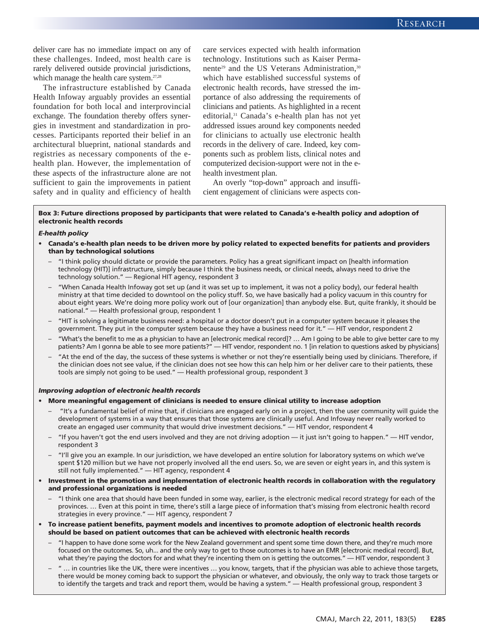deliver care has no immediate impact on any of these challenges. Indeed, most health care is rarely delivered outside provincial jurisdictions, which manage the health care system.<sup>27,28</sup>

The infrastructure established by Canada Health Infoway arguably provides an essential foundation for both local and interprovincial exchange. The foundation thereby offers synergies in investment and standardization in processes. Participants reported their belief in an architectural blueprint, national standards and registries as necessary components of the ehealth plan. However, the implementation of these aspects of the infrastructure alone are not sufficient to gain the improvements in patient safety and in quality and efficiency of health care services expected with health information technology. Institutions such as Kaiser Permanente<sup>29</sup> and the US Veterans Administration,<sup>30</sup> which have established successful systems of electronic health records, have stressed the importance of also addressing the requirements of clinicians and patients. As highlighted in a recent editorial,<sup>31</sup> Canada's e-health plan has not yet addressed issues around key components needed for clinicians to actually use electronic health records in the delivery of care. Indeed, key components such as problem lists, clinical notes and computerized decision-support were not in the ehealth investment plan.

An overly "top-down" approach and insufficient engagement of clinicians were aspects con-

### **Box 3: Future directions proposed by participants that were related to Canada's e-health policy and adoption of electronic health records**

### *E-health policy*

- **Canada's e-health plan needs to be driven more by policy related to expected benefits for patients and providers than by technological solutions**
	- "I think policy should dictate or provide the parameters. Policy has a great significant impact on [health information technology (HIT)] infrastructure, simply because I think the business needs, or clinical needs, always need to drive the technology solution." — Regional HIT agency, respondent 3
	- "When Canada Health Infoway got set up (and it was set up to implement, it was not a policy body), our federal health ministry at that time decided to downtool on the policy stuff. So, we have basically had a policy vacuum in this country for about eight years. We're doing more policy work out of [our organization] than anybody else. But, quite frankly, it should be national." — Health professional group, respondent 1
	- "HIT is solving a legitimate business need: a hospital or a doctor doesn't put in a computer system because it pleases the government. They put in the computer system because they have a business need for it." — HIT vendor, respondent 2
	- "What's the benefit to me as a physician to have an [electronic medical record]? … Am I going to be able to give better care to my patients? Am I gonna be able to see more patients?" — HIT vendor, respondent no. 1 [in relation to questions asked by physicians]
	- "At the end of the day, the success of these systems is whether or not they're essentially being used by clinicians. Therefore, if the clinician does not see value, if the clinician does not see how this can help him or her deliver care to their patients, these tools are simply not going to be used." — Health professional group, respondent 3

#### *Improving adoption of electronic health records*

#### • **More meaningful engagement of clinicians is needed to ensure clinical utility to increase adoption**

- "It's a fundamental belief of mine that, if clinicians are engaged early on in a project, then the user community will guide the development of systems in a way that ensures that those systems are clinically useful. And Infoway never really worked to create an engaged user community that would drive investment decisions." — HIT vendor, respondent 4
- "If you haven't got the end users involved and they are not driving adoption it just isn't going to happen." HIT vendor, respondent 3
- "I'll give you an example. In our jurisdiction, we have developed an entire solution for laboratory systems on which we've spent \$120 million but we have not properly involved all the end users. So, we are seven or eight years in, and this system is still not fully implemented." — HIT agency, respondent 4
- **Investment in the promotion and implementation of electronic health records in collaboration with the regulatory and professional organizations is needed**
	- "I think one area that should have been funded in some way, earlier, is the electronic medical record strategy for each of the provinces. … Even at this point in time, there's still a large piece of information that's missing from electronic health record strategies in every province." — HIT agency, respondent 7
- **To increase patient benefits, payment models and incentives to promote adoption of electronic health records should be based on patient outcomes that can be achieved with electronic health records**
	- "I happen to have done some work for the New Zealand government and spent some time down there, and they're much more focused on the outcomes. So, uh... and the only way to get to those outcomes is to have an EMR [electronic medical record]. But, what they're paying the doctors for and what they're incenting them on is getting the outcomes." — HIT vendor, respondent 3
	- " … in countries like the UK, there were incentives … you know, targets, that if the physician was able to achieve those targets, there would be money coming back to support the physician or whatever, and obviously, the only way to track those targets or to identify the targets and track and report them, would be having a system." — Health professional group, respondent 3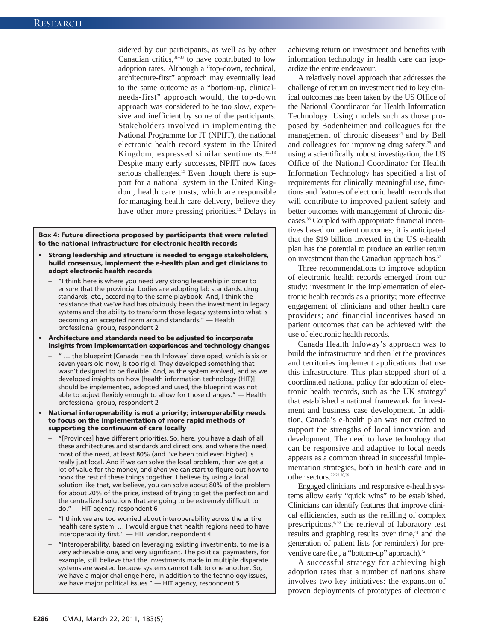sidered by our participants, as well as by other Canadian critics,<sup>31-33</sup> to have contributed to low adoption rates. Although a "top-down, technical, architecture-first" approach may eventually lead to the same outcome as a "bottom-up, clinicalneeds-first" approach would, the top-down approach was considered to be too slow, expensive and inefficient by some of the participants. Stakeholders involved in implementing the National Programme for IT (NPfIT), the national electronic health record system in the United Kingdom, expressed similar sentiments. $12,13$ Despite many early successes, NPfIT now faces serious challenges.<sup>13</sup> Even though there is support for a national system in the United Kingdom, health care trusts, which are responsible for managing health care delivery, believe they have other more pressing priorities.<sup>13</sup> Delays in

**Box 4: Future directions proposed by participants that were related to the national infrastructure for electronic health records**

- **Strong leadership and structure is needed to engage stakeholders, build consensus, implement the e-health plan and get clinicians to adopt electronic health records**
	- "I think here is where you need very strong leadership in order to ensure that the provincial bodies are adopting lab standards, drug standards, etc., according to the same playbook. And, I think the resistance that we've had has obviously been the investment in legacy systems and the ability to transform those legacy systems into what is becoming an accepted norm around standards." — Health professional group, respondent 2
- **Architecture and standards need to be adjusted to incorporate insights from implementation experiences and technology changes**
	- " … the blueprint [Canada Health Infoway] developed, which is six or seven years old now, is too rigid. They developed something that wasn't designed to be flexible. And, as the system evolved, and as we developed insights on how [health information technology (HIT)] should be implemented, adopted and used, the blueprint was not able to adjust flexibly enough to allow for those changes." — Health professional group, respondent 2
- **National interoperability is not a priority; interoperability needs to focus on the implementation of more rapid methods of supporting the continuum of care locally**
	- "[Provinces] have different priorities. So, here, you have a clash of all these architectures and standards and directions, and where the need, most of the need, at least 80% (and I've been told even higher) is really just local. And if we can solve the local problem, then we get a lot of value for the money, and *then* we can start to figure out how to hook the rest of these things together. I believe by using a local solution like that, we believe, you can solve about 80% of the problem for about 20% of the price, instead of trying to get the perfection and the centralized solutions that are going to be extremely difficult to do." — HIT agency, respondent 6
	- "I think we are too worried about interoperability across the entire health care system. … I would argue that health regions need to have interoperability first." — HIT vendor, respondent 4
	- "Interoperability, based on leveraging existing investments, to me is a very achievable one, and very significant. The political paymasters, for example, still believe that the investments made in multiple disparate systems are wasted because systems cannot talk to one another. So, we have a major challenge here, in addition to the technology issues, we have major political issues." — HIT agency, respondent 5

achieving return on investment and benefits with information technology in health care can jeopardize the entire endeavour.

A relatively novel approach that addresses the challenge of return on investment tied to key clinical outcomes has been taken by the US Office of the National Coordinator for Health Information Technology. Using models such as those proposed by Bodenheimer and colleagues for the management of chronic diseases<sup>34</sup> and by Bell and colleagues for improving drug safety,<sup>35</sup> and using a scientifically robust investigation, the US Office of the National Coordinator for Health Information Technology has specified a list of requirements for clinically meaningful use, functions and features of electronic health records that will contribute to improved patient safety and better outcomes with management of chronic diseases.36 Coupled with appropriate financial incentives based on patient outcomes, it is anticipated that the \$19 billion invested in the US e-health plan has the potential to produce an earlier return on investment than the Canadian approach has.<sup>37</sup>

Three recommendations to improve adoption of electronic health records emerged from our study: investment in the implementation of electronic health records as a priority; more effective engagement of clinicians and other health care providers; and financial incentives based on patient outcomes that can be achieved with the use of electronic health records.

Canada Health Infoway's approach was to build the infrastructure and then let the provinces and territories implement applications that use this infrastructure. This plan stopped short of a coordinated national policy for adoption of electronic health records, such as the UK strategy<sup>6</sup> that established a national framework for investment and business case development. In addition, Canada's e-health plan was not crafted to support the strengths of local innovation and development. The need to have technology that can be responsive and adaptive to local needs appears as a common thread in successful implementation strategies, both in health care and in other sectors.<sup>22,23,38,39</sup>

Engaged clinicians and responsive e-health systems allow early "quick wins" to be established. Clinicians can identify features that improve clinical efficiencies, such as the refilling of complex prescriptions,6,40 the retrieval of laboratory test results and graphing results over time,<sup>41</sup> and the generation of patient lists (or reminders) for preventive care (i.e., a "bottom-up" approach).<sup>42</sup>

A successful strategy for achieving high adoption rates that a number of nations share involves two key initiatives: the expansion of proven deployments of prototypes of electronic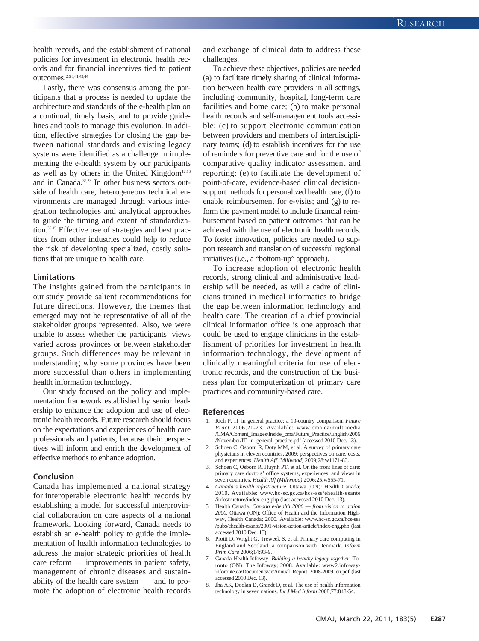health records, and the establishment of national policies for investment in electronic health records and for financial incentives tied to patient outcomes.2,6,8,41,43,44

Lastly, there was consensus among the participants that a process is needed to update the architecture and standards of the e-health plan on a continual, timely basis, and to provide guidelines and tools to manage this evolution. In addition, effective strategies for closing the gap be tween national standards and existing legacy systems were identified as a challenge in implementing the e-health system by our participants as well as by others in the United Kingdom $12,13$ and in Canada.<sup>32,33</sup> In other business sectors outside of health care, heterogeneous technical environments are managed through various integration technologies and analytical approaches to guide the timing and extent of standardization.38,45 Effective use of strategies and best practices from other industries could help to reduce the risk of developing specialized, costly solutions that are unique to health care.

#### **Limitations**

The insights gained from the participants in our study provide salient recommendations for future directions. However, the themes that emerged may not be representative of all of the stakeholder groups represented. Also, we were unable to assess whether the participants' views varied across provinces or between stakeholder groups. Such differences may be relevant in understanding why some provinces have been more successful than others in implementing health information technology.

Our study focused on the policy and implementation framework established by senior leadership to enhance the adoption and use of electronic health records. Future research should focus on the expectations and experiences of health care professionals and patients, because their perspectives will inform and enrich the development of effective methods to enhance adoption.

### **Conclusion**

Canada has implemented a national strategy for interoperable electronic health records by establishing a model for successful interprovincial collaboration on core aspects of a national framework. Looking forward, Canada needs to establish an e-health policy to guide the implementation of health information technologies to address the major strategic priorities of health care reform — improvements in patient safety, management of chronic diseases and sustainability of the health care system — and to promote the adoption of electronic health records and exchange of clinical data to address these challenges.

To achieve these objectives, policies are needed (a) to facilitate timely sharing of clinical information between health care providers in all settings, including community, hospital, long-term care facilities and home care; (b) to make personal health records and self-management tools accessible; (c) to support electronic communication between providers and members of interdisciplinary teams; (d) to establish incentives for the use of reminders for preventive care and for the use of comparative quality indicator assessment and reporting; (e) to facilitate the development of point-of-care, evidence-based clinical decisionsupport methods for personalized health care; (f) to enable reimbursement for e-visits; and (g) to reform the payment model to include financial reimbursement based on patient outcomes that can be achieved with the use of electronic health records. To foster innovation, policies are needed to support research and translation of successful regional initiatives (i.e., a "bottom-up" approach).

To increase adoption of electronic health records, strong clinical and administrative leadership will be needed, as will a cadre of clinicians trained in medical informatics to bridge the gap between information technology and health care. The creation of a chief provincial clinical information office is one approach that could be used to engage clinicians in the establishment of priorities for investment in health information technology, the development of clinically meaningful criteria for use of electronic records, and the construction of the business plan for computerization of primary care practices and community-based care.

#### **References**

- 1. Rich P. IT in general practice: a 10-country comparison. *Future* Pract 2006;21-23. Available: www.cma.ca/multimedia /CMA/Content\_Images/Inside\_cma/Future\_Practice/English /2006 /November/IT\_in\_general\_practice.pdf (accessed 2010 Dec. 13).
- 2. Schoen C, Osborn R, Doty MM, et al. A survey of primary care physicians in eleven countries, 2009: perspectives on care, costs, and experiences. *Health Aff (Millwood)* 2009;28:w1171-83.
- 3. Schoen C, Osborn R, Huynh PT, et al. On the front lines of care: primary care doctors' office systems, experiences, and views in seven countries. *Health Aff (Millwood)* 2006;25:w555-71.
- 4. *Canada's health infostructure*. Ottawa (ON): Health Canada; 2010. Available: www.hc-sc.gc.ca/hcs-sss/ehealth-esante /infostructure /index-eng.php (last accessed 2010 Dec. 13).
- 5. Health Canada. *Canada e-health 2000 from vision to action 2000*. Ottawa (ON): Office of Health and the Information Highway, Health Canada; 2000. Available: www.hc-sc.gc.ca/hcs-sss /pubs/ehealth-esante/2001-vision-action-article/index-eng.php (last accessed 2010 Dec. 13).
- 6. Protti D, Wright G, Treweek S, et al. Primary care computing in England and Scotland: a comparison with Denmark. *Inform Prim Care* 2006;14:93-9.
- 7. Canada Health Infoway. *Building a healthy legacy together*. Toronto (ON): The Infoway; 2008. Available: www2.infowayinforoute .ca /Documents /ar /Annual\_Report\_2008-2009\_en.pdf (last accessed 2010 Dec. 13).
- 8. Jha AK, Doolan D, Grandt D, et al. The use of health information technology in seven nations. *Int J Med Inform* 2008;77:848-54.